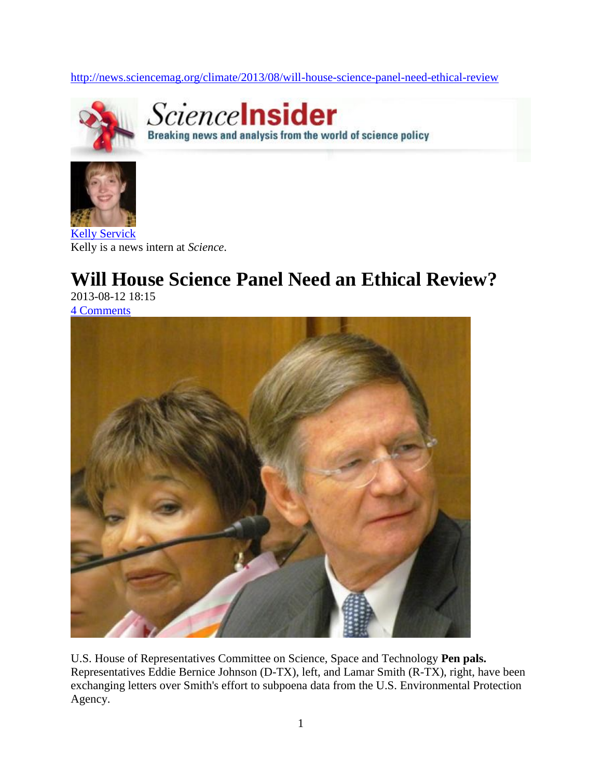<http://news.sciencemag.org/climate/2013/08/will-house-science-panel-need-ethical-review>



Sciencelnsider Breaking news and analysis from the world of science policy



Kelly is a news intern at *Science*.

## **Will House Science Panel Need an Ethical Review?**

2013-08-12 18:15 [4 Comments](http://news.sciencemag.org/climate/2013/08/will-house-science-panel-need-ethical-review#disqus_thread)



U.S. House of Representatives Committee on Science, Space and Technology **Pen pals.** Representatives Eddie Bernice Johnson (D-TX), left, and Lamar Smith (R-TX), right, have been exchanging letters over Smith's effort to subpoena data from the U.S. Environmental Protection Agency.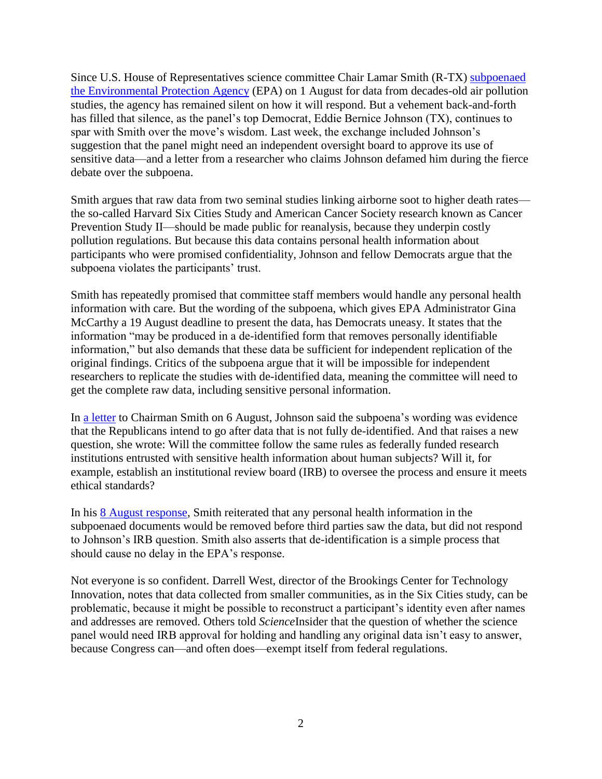Since U.S. House of Representatives science committee Chair Lamar Smith (R-TX) [subpoenaed](http://news.sciencemag.org/environment/2013/08/house-panel-subpoenas-epa-air-pollution-data)  [the Environmental Protection Agency](http://news.sciencemag.org/environment/2013/08/house-panel-subpoenas-epa-air-pollution-data) (EPA) on 1 August for data from decades-old air pollution studies, the agency has remained silent on how it will respond. But a vehement back-and-forth has filled that silence, as the panel's top Democrat, Eddie Bernice Johnson (TX), continues to spar with Smith over the move's wisdom. Last week, the exchange included Johnson's suggestion that the panel might need an independent oversight board to approve its use of sensitive data—and a letter from a researcher who claims Johnson defamed him during the fierce debate over the subpoena.

Smith argues that raw data from two seminal studies linking airborne soot to higher death rates the so-called Harvard Six Cities Study and American Cancer Society research known as Cancer Prevention Study II—should be made public for reanalysis, because they underpin costly pollution regulations. But because this data contains personal health information about participants who were promised confidentiality, Johnson and fellow Democrats argue that the subpoena violates the participants' trust.

Smith has repeatedly promised that committee staff members would handle any personal health information with care. But the wording of the subpoena, which gives EPA Administrator Gina McCarthy a 19 August deadline to present the data, has Democrats uneasy. It states that the information "may be produced in a de-identified form that removes personally identifiable information," but also demands that these data be sufficient for independent replication of the original findings. Critics of the subpoena argue that it will be impossible for independent researchers to replicate the studies with de-identified data, meaning the committee will need to get the complete raw data, including sensitive personal information.

In [a letter](http://news.sciencemag.org/climate/2013/08/democrats.science.house.gov/sites/democrats.science.house.gov/files/Letter.pdf) to Chairman Smith on 6 August, Johnson said the subpoena's wording was evidence that the Republicans intend to go after data that is not fully de-identified. And that raises a new question, she wrote: Will the committee follow the same rules as federally funded research institutions entrusted with sensitive health information about human subjects? Will it, for example, establish an institutional review board (IRB) to oversee the process and ensure it meets ethical standards?

In his [8 August response,](http://news.sciencemag.org/climate/2013/08/science.house.gov/sites/republicans.science.house.gov/files/documents/08-08-2013%20Chairman%20Smith%20Response%20to%20Ranking%20Member%20Johnson.pdf) Smith reiterated that any personal health information in the subpoenaed documents would be removed before third parties saw the data, but did not respond to Johnson's IRB question. Smith also asserts that de-identification is a simple process that should cause no delay in the EPA's response.

Not everyone is so confident. Darrell West, director of the Brookings Center for Technology Innovation, notes that data collected from smaller communities, as in the Six Cities study, can be problematic, because it might be possible to reconstruct a participant's identity even after names and addresses are removed. Others told *Science*Insider that the question of whether the science panel would need IRB approval for holding and handling any original data isn't easy to answer, because Congress can—and often does—exempt itself from federal regulations.